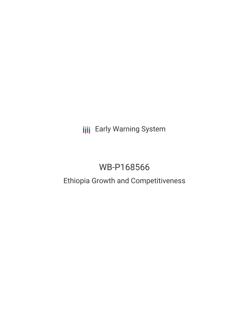**III** Early Warning System

# WB-P168566

## Ethiopia Growth and Competitiveness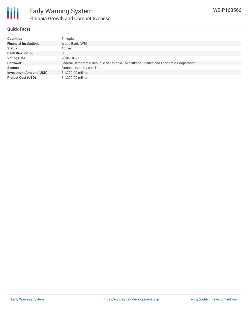

#### **Quick Facts**

| <b>Countries</b>               | Ethiopia                                                                               |
|--------------------------------|----------------------------------------------------------------------------------------|
| <b>Financial Institutions</b>  | World Bank (WB)                                                                        |
| <b>Status</b>                  | Active                                                                                 |
| <b>Bank Risk Rating</b>        | U                                                                                      |
| <b>Voting Date</b>             | 2018-10-30                                                                             |
| <b>Borrower</b>                | Federal Democratic Republic of Ethiopia - Ministry of Finance and Economic Cooperation |
| <b>Sectors</b>                 | Finance, Industry and Trade                                                            |
| <b>Investment Amount (USD)</b> | \$1,200.00 million                                                                     |
| <b>Project Cost (USD)</b>      | \$1,200,00 million                                                                     |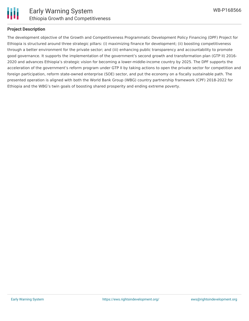

#### **Project Description**

The development objective of the Growth and Competitiveness Programmatic Development Policy Financing (DPF) Project for Ethiopia is structured around three strategic pillars: (i) maximizing finance for development; (ii) boosting competitiveness through a better environment for the private sector; and (iii) enhancing public transparency and accountability to promote good governance. It supports the implementation of the government's second growth and transformation plan (GTP II) 2016- 2020 and advances Ethiopia's strategic vision for becoming a lower-middle-income country by 2025. The DPF supports the acceleration of the government's reform program under GTP II by taking actions to open the private sector for competition and foreign participation, reform state-owned enterprise (SOE) sector, and put the economy on a fiscally sustainable path. The presented operation is aligned with both the World Bank Group (WBG) country partnership framework (CPF) 2018-2022 for Ethiopia and the WBG's twin goals of boosting shared prosperity and ending extreme poverty.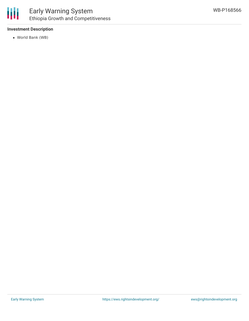#### **Investment Description**

World Bank (WB)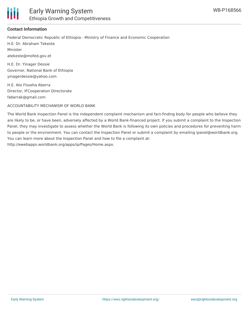

#### **Contact Information**

Federal Democratic Republic of Ethiopia - Ministry of Finance and Economic Cooperation H.E. Dr. Abraham Tekeste Minister atekeste@mofed.gov.et

H.E. Dr. Yinager Dessie Governor, National Bank of Ethiopia yinagerdessie@yahoo.com

H.E. Ato Fisseha Aberra Director, IFCooperation Directorate faberrak@gmail.com

ACCOUNTABILITY MECHANISM OF WORLD BANK

The World Bank Inspection Panel is the independent complaint mechanism and fact-finding body for people who believe they are likely to be, or have been, adversely affected by a World Bank-financed project. If you submit a complaint to the Inspection Panel, they may investigate to assess whether the World Bank is following its own policies and procedures for preventing harm to people or the environment. You can contact the Inspection Panel or submit a complaint by emailing ipanel@worldbank.org. You can learn more about the Inspection Panel and how to file a complaint at: http://ewebapps.worldbank.org/apps/ip/Pages/Home.aspx.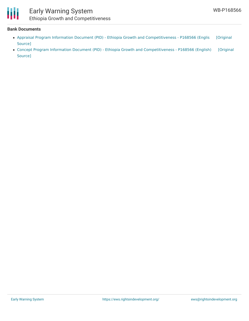

### Early Warning System Ethiopia Growth and Competitiveness

#### **Bank Documents**

- Appraisal Program Information Document (PID) Ethiopia Growth and [Competitiveness](https://ewsdata.rightsindevelopment.org/files/documents/66/WB-P168566.pdf) P168566 (Englis [Original Source]
- Concept Program Information Document (PID) Ethiopia Growth and [Competitiveness](https://ewsdata.rightsindevelopment.org/files/documents/66/WB-P168566_Yf8FVXM.pdf) P168566 (English) [Original Source]